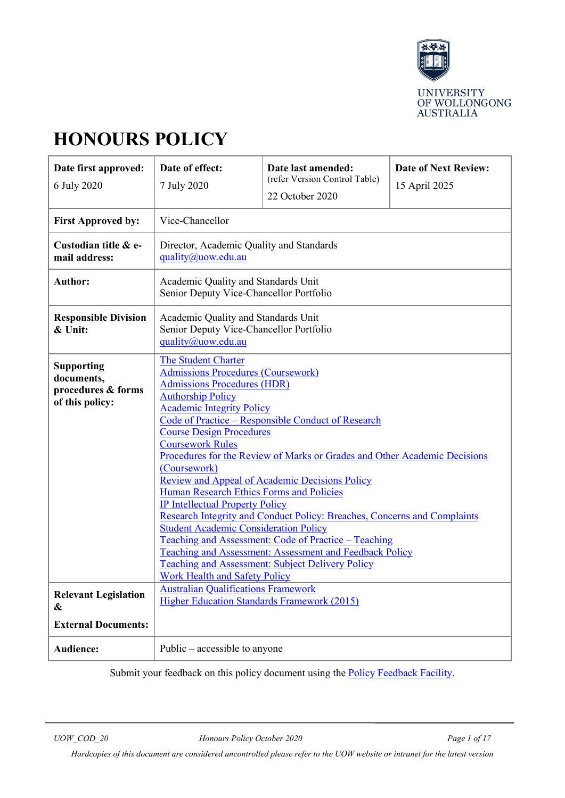

# **HONOURS POLICY**

| Date first approved:<br>6 July 2020                                      | Date of effect:<br>7 July 2020                                                                                                                                                                                                                                                                                                                                                                                                                                                                                                                                                                                                                                                                                                                                                                                                                                                                  | Date last amended:<br>(refer Version Control Table)<br>22 October 2020 | <b>Date of Next Review:</b><br>15 April 2025 |
|--------------------------------------------------------------------------|-------------------------------------------------------------------------------------------------------------------------------------------------------------------------------------------------------------------------------------------------------------------------------------------------------------------------------------------------------------------------------------------------------------------------------------------------------------------------------------------------------------------------------------------------------------------------------------------------------------------------------------------------------------------------------------------------------------------------------------------------------------------------------------------------------------------------------------------------------------------------------------------------|------------------------------------------------------------------------|----------------------------------------------|
| <b>First Approved by:</b>                                                | Vice-Chancellor                                                                                                                                                                                                                                                                                                                                                                                                                                                                                                                                                                                                                                                                                                                                                                                                                                                                                 |                                                                        |                                              |
| Custodian title & e-<br>mail address:                                    | Director, Academic Quality and Standards<br>quality@uow.edu.au                                                                                                                                                                                                                                                                                                                                                                                                                                                                                                                                                                                                                                                                                                                                                                                                                                  |                                                                        |                                              |
| Author:                                                                  | Academic Quality and Standards Unit<br>Senior Deputy Vice-Chancellor Portfolio                                                                                                                                                                                                                                                                                                                                                                                                                                                                                                                                                                                                                                                                                                                                                                                                                  |                                                                        |                                              |
| <b>Responsible Division</b><br>& Unit:                                   | Academic Quality and Standards Unit<br>Senior Deputy Vice-Chancellor Portfolio<br>quality@uow.edu.au                                                                                                                                                                                                                                                                                                                                                                                                                                                                                                                                                                                                                                                                                                                                                                                            |                                                                        |                                              |
| <b>Supporting</b><br>documents,<br>procedures & forms<br>of this policy: | The Student Charter<br><b>Admissions Procedures (Coursework)</b><br><b>Admissions Procedures (HDR)</b><br><b>Authorship Policy</b><br><b>Academic Integrity Policy</b><br>Code of Practice – Responsible Conduct of Research<br><b>Course Design Procedures</b><br><b>Coursework Rules</b><br>Procedures for the Review of Marks or Grades and Other Academic Decisions<br>(Coursework)<br><b>Review and Appeal of Academic Decisions Policy</b><br>Human Research Ethics Forms and Policies<br><b>IP Intellectual Property Policy</b><br>Research Integrity and Conduct Policy: Breaches, Concerns and Complaints<br><b>Student Academic Consideration Policy</b><br>Teaching and Assessment: Code of Practice – Teaching<br><b>Teaching and Assessment: Assessment and Feedback Policy</b><br><b>Teaching and Assessment: Subject Delivery Policy</b><br><b>Work Health and Safety Policy</b> |                                                                        |                                              |
| <b>Relevant Legislation</b><br>&                                         | <b>Australian Qualifications Framework</b><br>Higher Education Standards Framework (2015)                                                                                                                                                                                                                                                                                                                                                                                                                                                                                                                                                                                                                                                                                                                                                                                                       |                                                                        |                                              |
| <b>External Documents:</b>                                               |                                                                                                                                                                                                                                                                                                                                                                                                                                                                                                                                                                                                                                                                                                                                                                                                                                                                                                 |                                                                        |                                              |
| Audience:                                                                | Public $-$ accessible to anyone                                                                                                                                                                                                                                                                                                                                                                                                                                                                                                                                                                                                                                                                                                                                                                                                                                                                 |                                                                        |                                              |

Submit your feedback on this policy document using the **Policy Feedback Facility**.

*UOW\_COD\_20 Honours Policy October 2020 Page 1 of 17*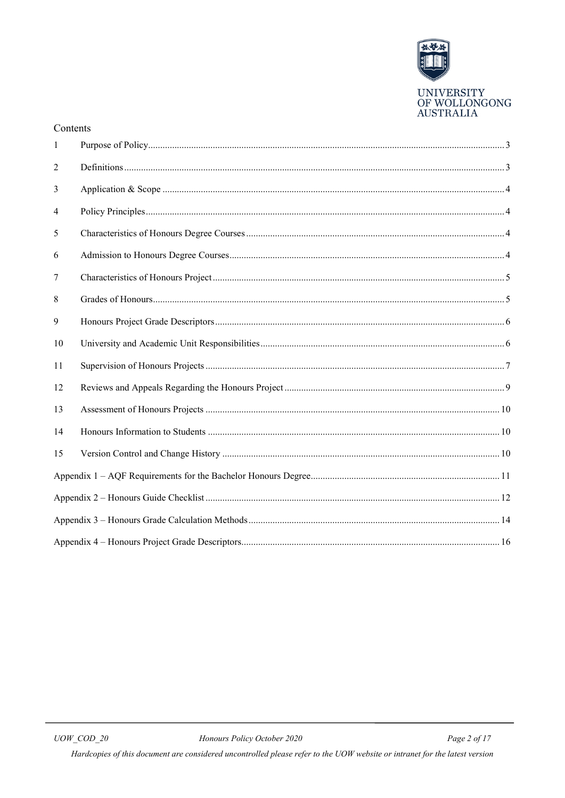

#### Contents

| 1  |  |
|----|--|
| 2  |  |
| 3  |  |
| 4  |  |
| 5  |  |
| 6  |  |
| 7  |  |
| 8  |  |
| 9  |  |
| 10 |  |
| 11 |  |
| 12 |  |
| 13 |  |
| 14 |  |
| 15 |  |
|    |  |
|    |  |
|    |  |
|    |  |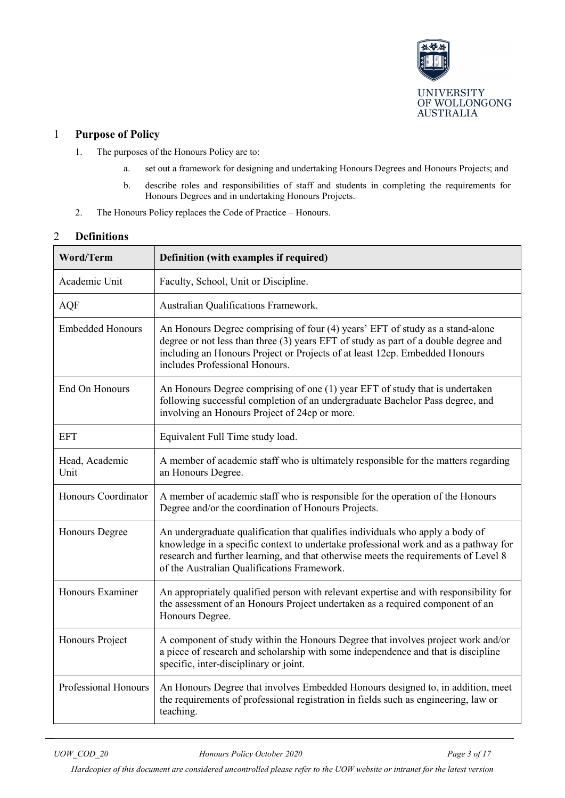

## <span id="page-2-0"></span>1 **Purpose of Policy**

- 1. The purposes of the Honours Policy are to:
	- a. set out a framework for designing and undertaking Honours Degrees and Honours Projects; and
	- b. describe roles and responsibilities of staff and students in completing the requirements for Honours Degrees and in undertaking Honours Projects.
- 2. The Honours Policy replaces the Code of Practice Honours.

## <span id="page-2-1"></span>2 **Definitions**

| <b>Word/Term</b>        | Definition (with examples if required)                                                                                                                                                                                                                                                                     |
|-------------------------|------------------------------------------------------------------------------------------------------------------------------------------------------------------------------------------------------------------------------------------------------------------------------------------------------------|
| Academic Unit           | Faculty, School, Unit or Discipline.                                                                                                                                                                                                                                                                       |
| <b>AQF</b>              | Australian Qualifications Framework.                                                                                                                                                                                                                                                                       |
| <b>Embedded Honours</b> | An Honours Degree comprising of four (4) years' EFT of study as a stand-alone<br>degree or not less than three (3) years EFT of study as part of a double degree and<br>including an Honours Project or Projects of at least 12cp. Embedded Honours<br>includes Professional Honours.                      |
| End On Honours          | An Honours Degree comprising of one (1) year EFT of study that is undertaken<br>following successful completion of an undergraduate Bachelor Pass degree, and<br>involving an Honours Project of 24cp or more.                                                                                             |
| <b>EFT</b>              | Equivalent Full Time study load.                                                                                                                                                                                                                                                                           |
| Head, Academic<br>Unit  | A member of academic staff who is ultimately responsible for the matters regarding<br>an Honours Degree.                                                                                                                                                                                                   |
| Honours Coordinator     | A member of academic staff who is responsible for the operation of the Honours<br>Degree and/or the coordination of Honours Projects.                                                                                                                                                                      |
| <b>Honours Degree</b>   | An undergraduate qualification that qualifies individuals who apply a body of<br>knowledge in a specific context to undertake professional work and as a pathway for<br>research and further learning, and that otherwise meets the requirements of Level 8<br>of the Australian Qualifications Framework. |
| Honours Examiner        | An appropriately qualified person with relevant expertise and with responsibility for<br>the assessment of an Honours Project undertaken as a required component of an<br>Honours Degree.                                                                                                                  |
| Honours Project         | A component of study within the Honours Degree that involves project work and/or<br>a piece of research and scholarship with some independence and that is discipline<br>specific, inter-disciplinary or joint.                                                                                            |
| Professional Honours    | An Honours Degree that involves Embedded Honours designed to, in addition, meet<br>the requirements of professional registration in fields such as engineering, law or<br>teaching.                                                                                                                        |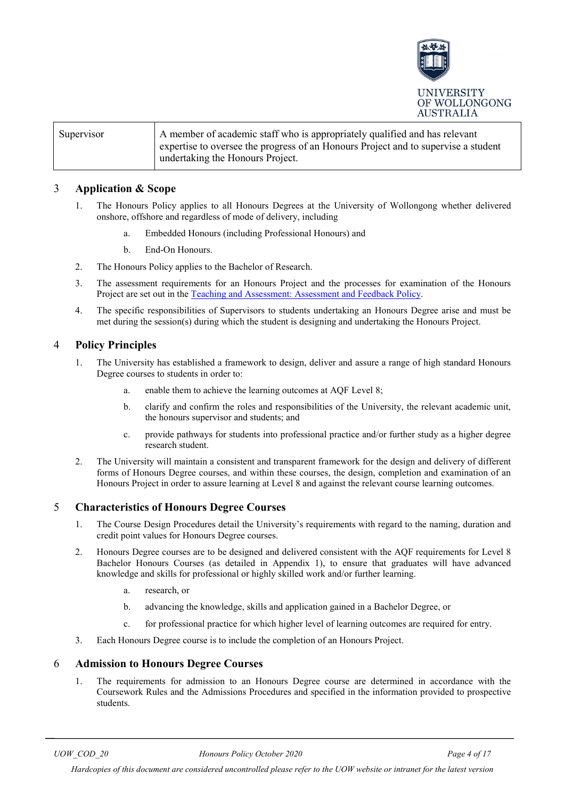

| Supervisor | A member of academic staff who is appropriately qualified and has relevant<br>expertise to oversee the progress of an Honours Project and to supervise a student |
|------------|------------------------------------------------------------------------------------------------------------------------------------------------------------------|
|            | undertaking the Honours Project.                                                                                                                                 |

## <span id="page-3-0"></span>3 **Application & Scope**

- 1. The Honours Policy applies to all Honours Degrees at the University of Wollongong whether delivered onshore, offshore and regardless of mode of delivery, including
	- a. Embedded Honours (including Professional Honours) and
	- b. End-On Honours.
- 2. The Honours Policy applies to the Bachelor of Research.
- 3. The assessment requirements for an Honours Project and the processes for examination of the Honours Project are set out in the [Teaching and Assessment: Assessment and Feedback Policy.](https://documents.uow.edu.au/about/policy/alphalisting/UOW222905.html#P177_18258)
- 4. The specific responsibilities of Supervisors to students undertaking an Honours Degree arise and must be met during the session(s) during which the student is designing and undertaking the Honours Project.

## <span id="page-3-1"></span>4 **Policy Principles**

- 1. The University has established a framework to design, deliver and assure a range of high standard Honours Degree courses to students in order to:
	- a. enable them to achieve the learning outcomes at AQF Level 8;
	- b. clarify and confirm the roles and responsibilities of the University, the relevant academic unit, the honours supervisor and students; and
	- c. provide pathways for students into professional practice and/or further study as a higher degree research student.
- 2. The University will maintain a consistent and transparent framework for the design and delivery of different forms of Honours Degree courses, and within these courses, the design, completion and examination of an Honours Project in order to assure learning at Level 8 and against the relevant course learning outcomes.

## <span id="page-3-2"></span>5 **Characteristics of Honours Degree Courses**

- 1. The Course Design Procedures detail the University's requirements with regard to the naming, duration and credit point values for Honours Degree courses.
- 2. Honours Degree courses are to be designed and delivered consistent with the AQF requirements for Level 8 Bachelor Honours Courses (as detailed in Appendix 1), to ensure that graduates will have advanced knowledge and skills for professional or highly skilled work and/or further learning.
	- a. research, or
	- b. advancing the knowledge, skills and application gained in a Bachelor Degree, or
	- c. for professional practice for which higher level of learning outcomes are required for entry.
- 3. Each Honours Degree course is to include the completion of an Honours Project.

#### <span id="page-3-3"></span>6 **Admission to Honours Degree Courses**

1. The requirements for admission to an Honours Degree course are determined in accordance with the Coursework Rules and the Admissions Procedures and specified in the information provided to prospective students.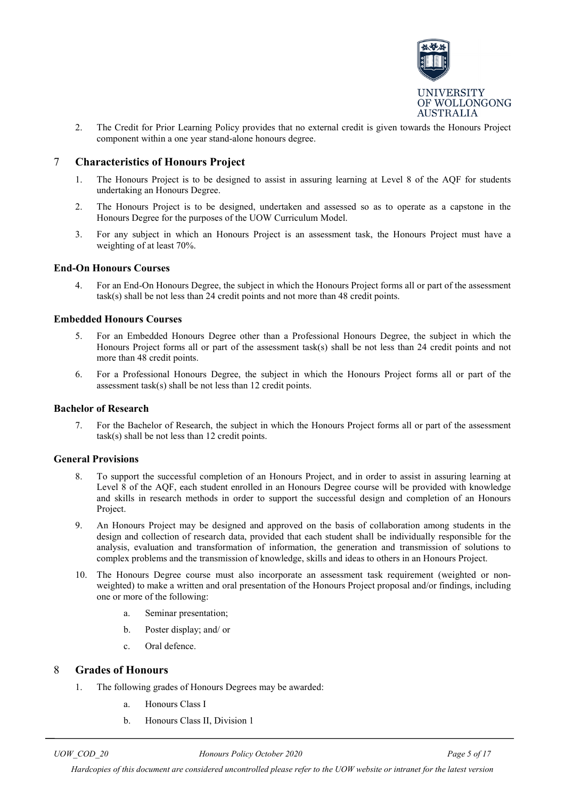

2. The Credit for Prior Learning Policy provides that no external credit is given towards the Honours Project component within a one year stand-alone honours degree.

## <span id="page-4-0"></span>7 **Characteristics of Honours Project**

- 1. The Honours Project is to be designed to assist in assuring learning at Level 8 of the AQF for students undertaking an Honours Degree.
- 2. The Honours Project is to be designed, undertaken and assessed so as to operate as a capstone in the Honours Degree for the purposes of the UOW Curriculum Model.
- 3. For any subject in which an Honours Project is an assessment task, the Honours Project must have a weighting of at least 70%.

#### **End-On Honours Courses**

4. For an End-On Honours Degree, the subject in which the Honours Project forms all or part of the assessment task(s) shall be not less than 24 credit points and not more than 48 credit points.

#### **Embedded Honours Courses**

- 5. For an Embedded Honours Degree other than a Professional Honours Degree, the subject in which the Honours Project forms all or part of the assessment task(s) shall be not less than 24 credit points and not more than 48 credit points.
- 6. For a Professional Honours Degree, the subject in which the Honours Project forms all or part of the assessment task(s) shall be not less than 12 credit points.

#### **Bachelor of Research**

7. For the Bachelor of Research, the subject in which the Honours Project forms all or part of the assessment task(s) shall be not less than 12 credit points.

#### **General Provisions**

- 8. To support the successful completion of an Honours Project, and in order to assist in assuring learning at Level 8 of the AQF, each student enrolled in an Honours Degree course will be provided with knowledge and skills in research methods in order to support the successful design and completion of an Honours Project.
- 9. An Honours Project may be designed and approved on the basis of collaboration among students in the design and collection of research data, provided that each student shall be individually responsible for the analysis, evaluation and transformation of information, the generation and transmission of solutions to complex problems and the transmission of knowledge, skills and ideas to others in an Honours Project.
- 10. The Honours Degree course must also incorporate an assessment task requirement (weighted or nonweighted) to make a written and oral presentation of the Honours Project proposal and/or findings, including one or more of the following:
	- a. Seminar presentation;
	- b. Poster display; and/ or
	- c. Oral defence.

## <span id="page-4-1"></span>8 **Grades of Honours**

- 1. The following grades of Honours Degrees may be awarded:
	- a. Honours Class I
	- b. Honours Class II, Division 1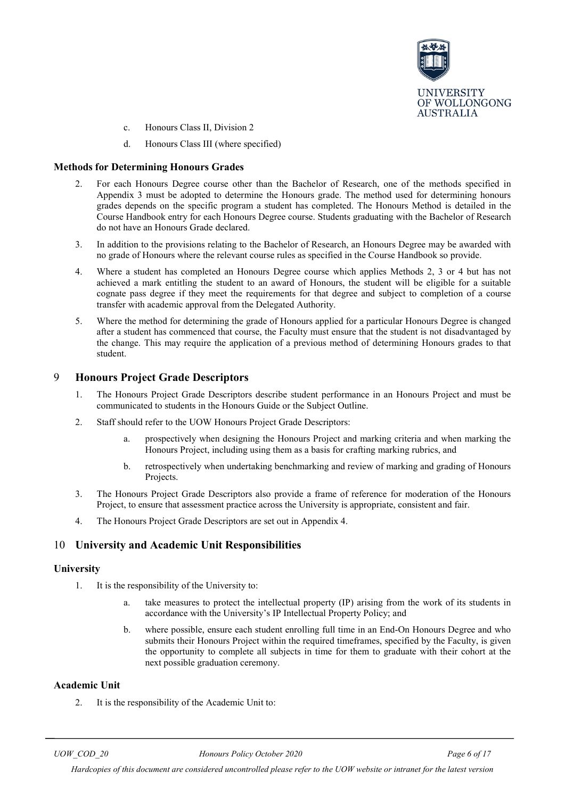

- c. Honours Class II, Division 2
- d. Honours Class III (where specified)

#### **Methods for Determining Honours Grades**

- 2. For each Honours Degree course other than the Bachelor of Research, one of the methods specified in Appendix 3 must be adopted to determine the Honours grade. The method used for determining honours grades depends on the specific program a student has completed. The Honours Method is detailed in the Course Handbook entry for each Honours Degree course. Students graduating with the Bachelor of Research do not have an Honours Grade declared.
- 3. In addition to the provisions relating to the Bachelor of Research, an Honours Degree may be awarded with no grade of Honours where the relevant course rules as specified in the Course Handbook so provide.
- 4. Where a student has completed an Honours Degree course which applies Methods 2, 3 or 4 but has not achieved a mark entitling the student to an award of Honours, the student will be eligible for a suitable cognate pass degree if they meet the requirements for that degree and subject to completion of a course transfer with academic approval from the Delegated Authority.
- 5. Where the method for determining the grade of Honours applied for a particular Honours Degree is changed after a student has commenced that course, the Faculty must ensure that the student is not disadvantaged by the change. This may require the application of a previous method of determining Honours grades to that student.

## <span id="page-5-0"></span>9 **Honours Project Grade Descriptors**

- 1. The Honours Project Grade Descriptors describe student performance in an Honours Project and must be communicated to students in the Honours Guide or the Subject Outline.
- 2. Staff should refer to the UOW Honours Project Grade Descriptors:
	- prospectively when designing the Honours Project and marking criteria and when marking the Honours Project, including using them as a basis for crafting marking rubrics, and
	- b. retrospectively when undertaking benchmarking and review of marking and grading of Honours Projects.
- 3. The Honours Project Grade Descriptors also provide a frame of reference for moderation of the Honours Project, to ensure that assessment practice across the University is appropriate, consistent and fair.
- 4. The Honours Project Grade Descriptors are set out in Appendix 4.

## <span id="page-5-1"></span>10 **University and Academic Unit Responsibilities**

#### **University**

- 1. It is the responsibility of the University to:
	- a. take measures to protect the intellectual property (IP) arising from the work of its students in accordance with the University's IP Intellectual Property Policy; and
	- b. where possible, ensure each student enrolling full time in an End-On Honours Degree and who submits their Honours Project within the required timeframes, specified by the Faculty, is given the opportunity to complete all subjects in time for them to graduate with their cohort at the next possible graduation ceremony.

#### **Academic Unit**

2. It is the responsibility of the Academic Unit to: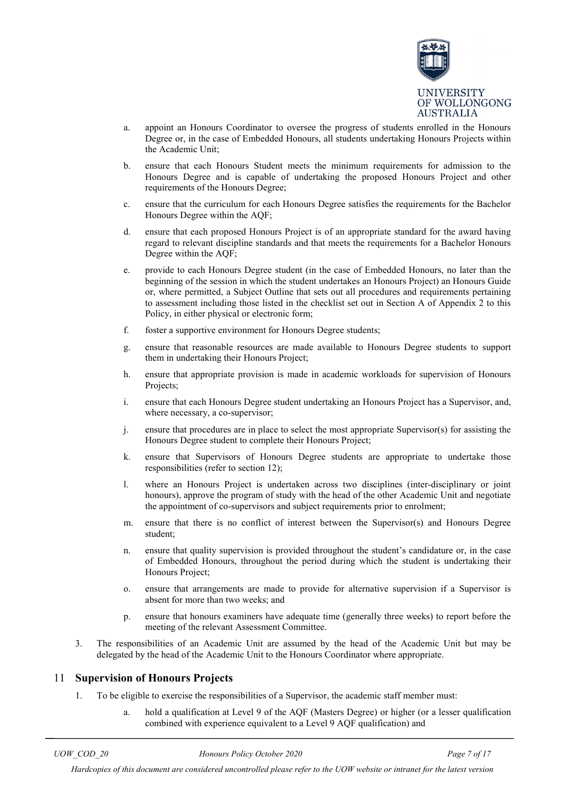

- a. appoint an Honours Coordinator to oversee the progress of students enrolled in the Honours Degree or, in the case of Embedded Honours, all students undertaking Honours Projects within the Academic Unit;
- b. ensure that each Honours Student meets the minimum requirements for admission to the Honours Degree and is capable of undertaking the proposed Honours Project and other requirements of the Honours Degree;
- c. ensure that the curriculum for each Honours Degree satisfies the requirements for the Bachelor Honours Degree within the AQF;
- d. ensure that each proposed Honours Project is of an appropriate standard for the award having regard to relevant discipline standards and that meets the requirements for a Bachelor Honours Degree within the AQF;
- e. provide to each Honours Degree student (in the case of Embedded Honours, no later than the beginning of the session in which the student undertakes an Honours Project) an Honours Guide or, where permitted, a Subject Outline that sets out all procedures and requirements pertaining to assessment including those listed in the checklist set out in Section A of Appendix 2 to this Policy, in either physical or electronic form;
- f. foster a supportive environment for Honours Degree students;
- g. ensure that reasonable resources are made available to Honours Degree students to support them in undertaking their Honours Project;
- h. ensure that appropriate provision is made in academic workloads for supervision of Honours Projects;
- i. ensure that each Honours Degree student undertaking an Honours Project has a Supervisor, and, where necessary, a co-supervisor;
- j. ensure that procedures are in place to select the most appropriate Supervisor(s) for assisting the Honours Degree student to complete their Honours Project;
- k. ensure that Supervisors of Honours Degree students are appropriate to undertake those responsibilities (refer to section 12);
- l. where an Honours Project is undertaken across two disciplines (inter-disciplinary or joint honours), approve the program of study with the head of the other Academic Unit and negotiate the appointment of co-supervisors and subject requirements prior to enrolment;
- m. ensure that there is no conflict of interest between the Supervisor(s) and Honours Degree student;
- n. ensure that quality supervision is provided throughout the student's candidature or, in the case of Embedded Honours, throughout the period during which the student is undertaking their Honours Project;
- o. ensure that arrangements are made to provide for alternative supervision if a Supervisor is absent for more than two weeks; and
- p. ensure that honours examiners have adequate time (generally three weeks) to report before the meeting of the relevant Assessment Committee.
- 3. The responsibilities of an Academic Unit are assumed by the head of the Academic Unit but may be delegated by the head of the Academic Unit to the Honours Coordinator where appropriate.

## <span id="page-6-0"></span>11 **Supervision of Honours Projects**

- 1. To be eligible to exercise the responsibilities of a Supervisor, the academic staff member must:
	- hold a qualification at Level 9 of the AQF (Masters Degree) or higher (or a lesser qualification combined with experience equivalent to a Level 9 AQF qualification) and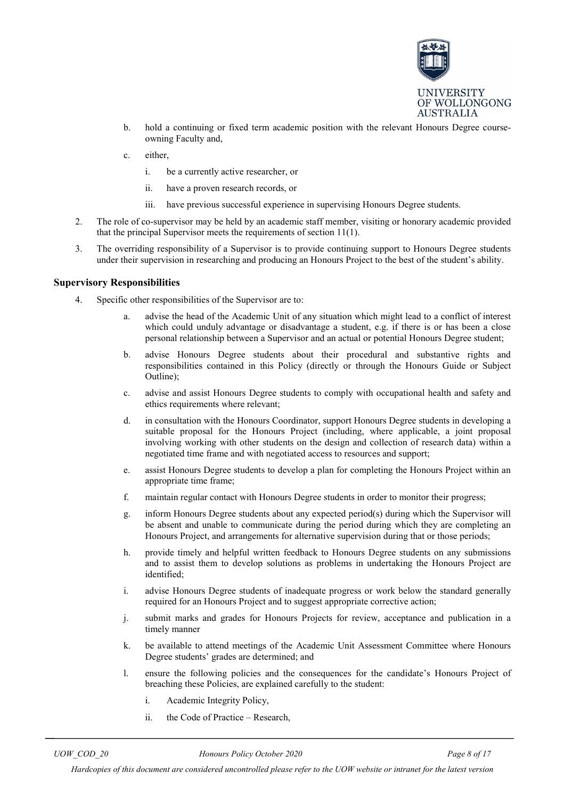

- b. hold a continuing or fixed term academic position with the relevant Honours Degree courseowning Faculty and,
- c. either,
	- i. be a currently active researcher, or
	- ii. have a proven research records, or
	- iii. have previous successful experience in supervising Honours Degree students.
- 2. The role of co-supervisor may be held by an academic staff member, visiting or honorary academic provided that the principal Supervisor meets the requirements of section 11(1).
- 3. The overriding responsibility of a Supervisor is to provide continuing support to Honours Degree students under their supervision in researching and producing an Honours Project to the best of the student's ability.

#### **Supervisory Responsibilities**

- 4. Specific other responsibilities of the Supervisor are to:
	- advise the head of the Academic Unit of any situation which might lead to a conflict of interest which could unduly advantage or disadvantage a student, e.g. if there is or has been a close personal relationship between a Supervisor and an actual or potential Honours Degree student;
	- b. advise Honours Degree students about their procedural and substantive rights and responsibilities contained in this Policy (directly or through the Honours Guide or Subject Outline);
	- c. advise and assist Honours Degree students to comply with occupational health and safety and ethics requirements where relevant;
	- d. in consultation with the Honours Coordinator, support Honours Degree students in developing a suitable proposal for the Honours Project (including, where applicable, a joint proposal involving working with other students on the design and collection of research data) within a negotiated time frame and with negotiated access to resources and support;
	- e. assist Honours Degree students to develop a plan for completing the Honours Project within an appropriate time frame;
	- f. maintain regular contact with Honours Degree students in order to monitor their progress;
	- g. inform Honours Degree students about any expected period(s) during which the Supervisor will be absent and unable to communicate during the period during which they are completing an Honours Project, and arrangements for alternative supervision during that or those periods;
	- h. provide timely and helpful written feedback to Honours Degree students on any submissions and to assist them to develop solutions as problems in undertaking the Honours Project are identified;
	- i. advise Honours Degree students of inadequate progress or work below the standard generally required for an Honours Project and to suggest appropriate corrective action;
	- j. submit marks and grades for Honours Projects for review, acceptance and publication in a timely manner
	- k. be available to attend meetings of the Academic Unit Assessment Committee where Honours Degree students' grades are determined; and
	- l. ensure the following policies and the consequences for the candidate's Honours Project of breaching these Policies, are explained carefully to the student:
		- i. Academic Integrity Policy,
		- ii. the Code of Practice Research,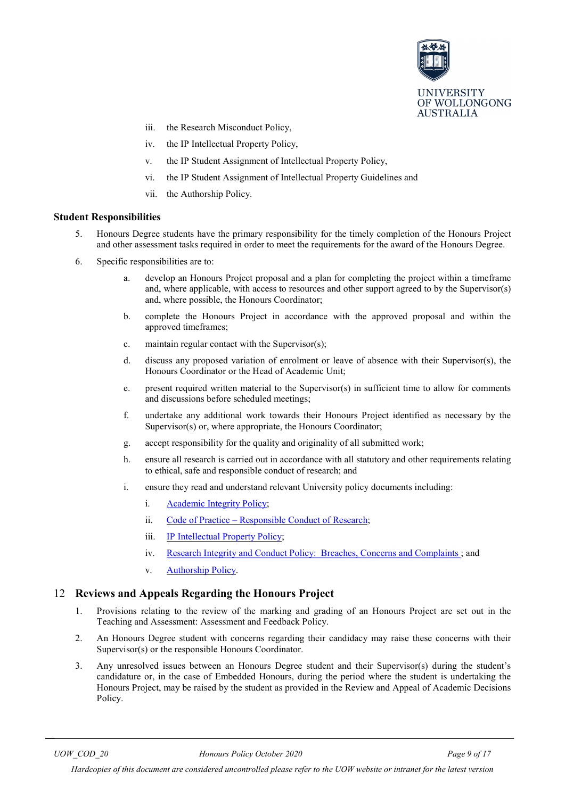

- iii. the Research Misconduct Policy,
- iv. the IP Intellectual Property Policy,
- v. the IP Student Assignment of Intellectual Property Policy,
- vi. the IP Student Assignment of Intellectual Property Guidelines and
- vii. the Authorship Policy.

#### **Student Responsibilities**

- 5. Honours Degree students have the primary responsibility for the timely completion of the Honours Project and other assessment tasks required in order to meet the requirements for the award of the Honours Degree.
- 6. Specific responsibilities are to:
	- a. develop an Honours Project proposal and a plan for completing the project within a timeframe and, where applicable, with access to resources and other support agreed to by the Supervisor(s) and, where possible, the Honours Coordinator;
	- b. complete the Honours Project in accordance with the approved proposal and within the approved timeframes;
	- c. maintain regular contact with the Supervisor(s);
	- d. discuss any proposed variation of enrolment or leave of absence with their Supervisor(s), the Honours Coordinator or the Head of Academic Unit;
	- e. present required written material to the Supervisor(s) in sufficient time to allow for comments and discussions before scheduled meetings;
	- f. undertake any additional work towards their Honours Project identified as necessary by the Supervisor(s) or, where appropriate, the Honours Coordinator;
	- g. accept responsibility for the quality and originality of all submitted work;
	- h. ensure all research is carried out in accordance with all statutory and other requirements relating to ethical, safe and responsible conduct of research; and
	- i. ensure they read and understand relevant University policy documents including:
		- i. [Academic Integrity Policy;](https://www.uow.edu.au/about/policy/UOW058648.html)
		- ii. Code of Practice [Responsible Conduct](http://www.uow.edu.au/about/policy/UOW058663.html) of Research;
		- iii. [IP Intellectual Property Policy;](http://www.uow.edu.au/about/policy/UOW058689.html)
		- iv. [Research Integrity and Conduct Policy: Breaches, Concerns and Complaints ;](http://www.uow.edu.au/about/policy/UOW058715.html) and
		- v. [Authorship Policy.](http://www.uow.edu.au/about/policy/UOW058654.html)

## <span id="page-8-0"></span>12 **Reviews and Appeals Regarding the Honours Project**

- 1. Provisions relating to the review of the marking and grading of an Honours Project are set out in the Teaching and Assessment: Assessment and Feedback Policy.
- 2. An Honours Degree student with concerns regarding their candidacy may raise these concerns with their Supervisor(s) or the responsible Honours Coordinator.
- 3. Any unresolved issues between an Honours Degree student and their Supervisor(s) during the student's candidature or, in the case of Embedded Honours, during the period where the student is undertaking the Honours Project, may be raised by the student as provided in the Review and Appeal of Academic Decisions Policy.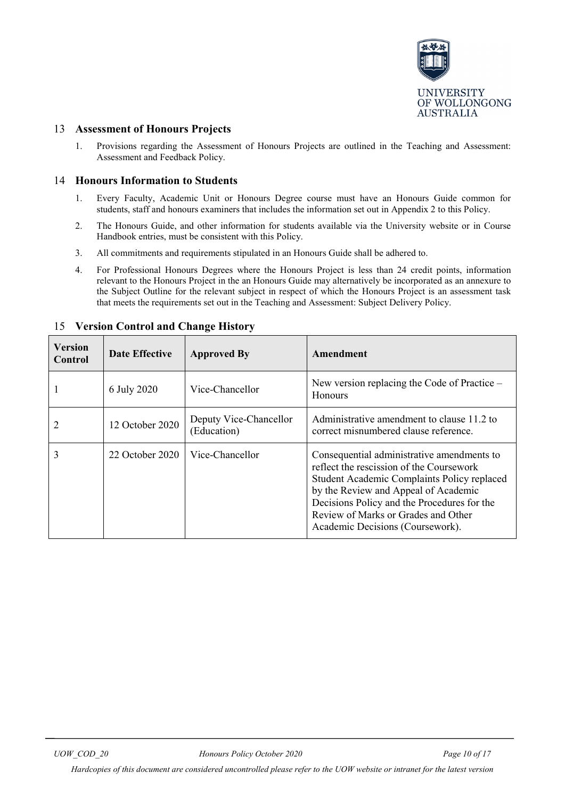

## <span id="page-9-0"></span>13 **Assessment of Honours Projects**

1. Provisions regarding the Assessment of Honours Projects are outlined in the Teaching and Assessment: Assessment and Feedback Policy.

## <span id="page-9-1"></span>14 **Honours Information to Students**

- 1. Every Faculty, Academic Unit or Honours Degree course must have an Honours Guide common for students, staff and honours examiners that includes the information set out in Appendix 2 to this Policy.
- 2. The Honours Guide, and other information for students available via the University website or in Course Handbook entries, must be consistent with this Policy.
- 3. All commitments and requirements stipulated in an Honours Guide shall be adhered to.
- 4. For Professional Honours Degrees where the Honours Project is less than 24 credit points, information relevant to the Honours Project in the an Honours Guide may alternatively be incorporated as an annexure to the Subject Outline for the relevant subject in respect of which the Honours Project is an assessment task that meets the requirements set out in the Teaching and Assessment: Subject Delivery Policy.

| Version<br>Control | <b>Date Effective</b> | <b>Approved By</b>                    | Amendment                                                                                                                                                                                                                                                                                               |
|--------------------|-----------------------|---------------------------------------|---------------------------------------------------------------------------------------------------------------------------------------------------------------------------------------------------------------------------------------------------------------------------------------------------------|
|                    | 6 July 2020           | Vice-Chancellor                       | New version replacing the Code of Practice –<br><b>Honours</b>                                                                                                                                                                                                                                          |
|                    | 12 October 2020       | Deputy Vice-Chancellor<br>(Education) | Administrative amendment to clause 11.2 to<br>correct misnumbered clause reference.                                                                                                                                                                                                                     |
| 3                  | 22 October 2020       | Vice-Chancellor                       | Consequential administrative amendments to<br>reflect the rescission of the Coursework<br>Student Academic Complaints Policy replaced<br>by the Review and Appeal of Academic<br>Decisions Policy and the Procedures for the<br>Review of Marks or Grades and Other<br>Academic Decisions (Coursework). |

## <span id="page-9-2"></span>15 **Version Control and Change History**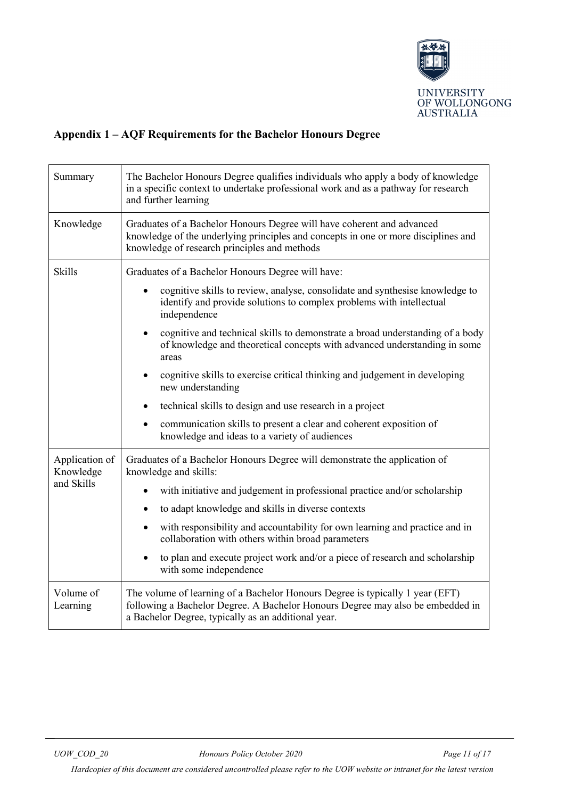

# <span id="page-10-0"></span>**Appendix 1 – AQF Requirements for the Bachelor Honours Degree**

| Summary                                   | The Bachelor Honours Degree qualifies individuals who apply a body of knowledge<br>in a specific context to undertake professional work and as a pathway for research<br>and further learning                                                                                                                                                                                                                                                                                                                         |  |
|-------------------------------------------|-----------------------------------------------------------------------------------------------------------------------------------------------------------------------------------------------------------------------------------------------------------------------------------------------------------------------------------------------------------------------------------------------------------------------------------------------------------------------------------------------------------------------|--|
| Knowledge                                 | Graduates of a Bachelor Honours Degree will have coherent and advanced<br>knowledge of the underlying principles and concepts in one or more disciplines and<br>knowledge of research principles and methods                                                                                                                                                                                                                                                                                                          |  |
| <b>Skills</b>                             | Graduates of a Bachelor Honours Degree will have:<br>cognitive skills to review, analyse, consolidate and synthesise knowledge to<br>identify and provide solutions to complex problems with intellectual<br>independence<br>cognitive and technical skills to demonstrate a broad understanding of a body<br>$\bullet$<br>of knowledge and theoretical concepts with advanced understanding in some<br>areas<br>cognitive skills to exercise critical thinking and judgement in developing<br>٠<br>new understanding |  |
|                                           | technical skills to design and use research in a project<br>$\bullet$<br>communication skills to present a clear and coherent exposition of<br>knowledge and ideas to a variety of audiences                                                                                                                                                                                                                                                                                                                          |  |
| Application of<br>Knowledge<br>and Skills | Graduates of a Bachelor Honours Degree will demonstrate the application of<br>knowledge and skills:<br>with initiative and judgement in professional practice and/or scholarship<br>$\bullet$<br>to adapt knowledge and skills in diverse contexts<br>٠<br>with responsibility and accountability for own learning and practice and in<br>$\bullet$<br>collaboration with others within broad parameters<br>to plan and execute project work and/or a piece of research and scholarship<br>with some independence     |  |
| Volume of<br>Learning                     | The volume of learning of a Bachelor Honours Degree is typically 1 year (EFT)<br>following a Bachelor Degree. A Bachelor Honours Degree may also be embedded in<br>a Bachelor Degree, typically as an additional year.                                                                                                                                                                                                                                                                                                |  |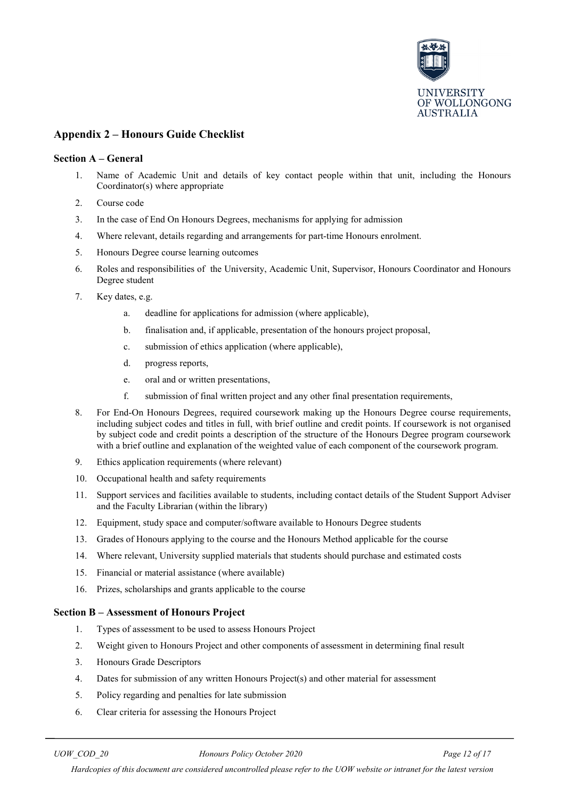

## <span id="page-11-0"></span>**Appendix 2 – Honours Guide Checklist**

#### **Section A – General**

- 1. Name of Academic Unit and details of key contact people within that unit, including the Honours Coordinator(s) where appropriate
- 2. Course code
- 3. In the case of End On Honours Degrees, mechanisms for applying for admission
- 4. Where relevant, details regarding and arrangements for part-time Honours enrolment.
- 5. Honours Degree course learning outcomes
- 6. Roles and responsibilities of the University, Academic Unit, Supervisor, Honours Coordinator and Honours Degree student
- 7. Key dates, e.g.
	- a. deadline for applications for admission (where applicable),
	- b. finalisation and, if applicable, presentation of the honours project proposal,
	- c. submission of ethics application (where applicable),
	- d. progress reports,
	- e. oral and or written presentations,
	- f. submission of final written project and any other final presentation requirements,
- 8. For End-On Honours Degrees, required coursework making up the Honours Degree course requirements, including subject codes and titles in full, with brief outline and credit points. If coursework is not organised by subject code and credit points a description of the structure of the Honours Degree program coursework with a brief outline and explanation of the weighted value of each component of the coursework program.
- 9. Ethics application requirements (where relevant)
- 10. Occupational health and safety requirements
- 11. Support services and facilities available to students, including contact details of the Student Support Adviser and the Faculty Librarian (within the library)
- 12. Equipment, study space and computer/software available to Honours Degree students
- 13. Grades of Honours applying to the course and the Honours Method applicable for the course
- 14. Where relevant, University supplied materials that students should purchase and estimated costs
- 15. Financial or material assistance (where available)
- 16. Prizes, scholarships and grants applicable to the course

#### **Section B – Assessment of Honours Project**

- 1. Types of assessment to be used to assess Honours Project
- 2. Weight given to Honours Project and other components of assessment in determining final result
- 3. Honours Grade Descriptors
- 4. Dates for submission of any written Honours Project(s) and other material for assessment
- 5. Policy regarding and penalties for late submission
- 6. Clear criteria for assessing the Honours Project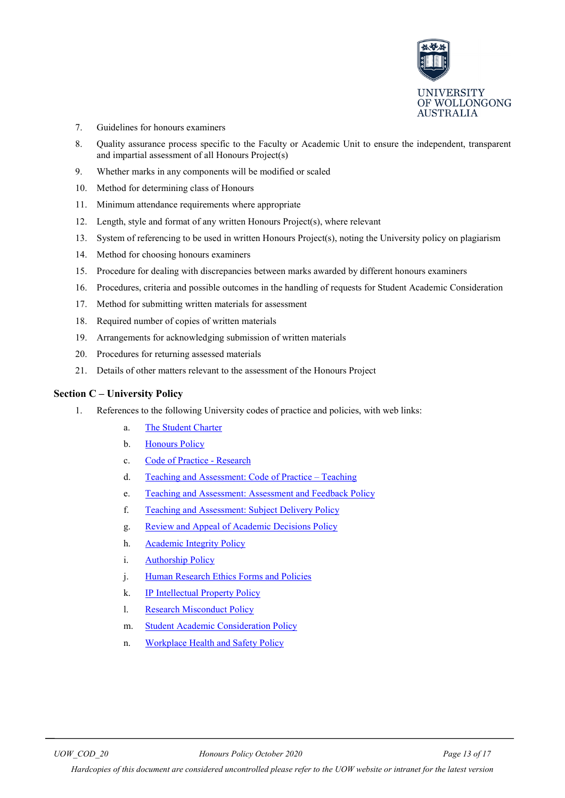

- 7. Guidelines for honours examiners
- 8. Quality assurance process specific to the Faculty or Academic Unit to ensure the independent, transparent and impartial assessment of all Honours Project(s)
- 9. Whether marks in any components will be modified or scaled
- 10. Method for determining class of Honours
- 11. Minimum attendance requirements where appropriate
- 12. Length, style and format of any written Honours Project(s), where relevant
- 13. System of referencing to be used in written Honours Project(s), noting the University policy on plagiarism
- 14. Method for choosing honours examiners
- 15. Procedure for dealing with discrepancies between marks awarded by different honours examiners
- 16. Procedures, criteria and possible outcomes in the handling of requests for Student Academic Consideration
- 17. Method for submitting written materials for assessment
- 18. Required number of copies of written materials
- 19. Arrangements for acknowledging submission of written materials
- 20. Procedures for returning assessed materials
- 21. Details of other matters relevant to the assessment of the Honours Project

#### **Section C – University Policy**

- 1. References to the following University codes of practice and policies, with web links:
	- a. [The Student Charter](http://www.uow.edu.au/student/charter/index.html)
	- b. [Honours Policy](http://www.uow.edu.au/about/policy/UOW058661.html)
	- c. [Code of Practice -](http://www.uow.edu.au/about/policy/UOW058663.html) Research
	- d. [Teaching and Assessment: Code of Practice –](http://www.uow.edu.au/about/policy/UOW058666.html) Teaching
	- e. [Teaching and Assessment: Assessment and Feedback Policy](https://www.uow.edu.au/about/policy/alphalisting/UOW222910.html)
	- f. [Teaching and Assessment: Subject Delivery Policy](https://www.uow.edu.au/about/policy/alphalisting/UOW222910.html)
	- g. [Review and Appeal of Academic Decisions Policy](https://documents.uow.edu.au/about/policy/students/UOW189967.html)
	- h. [Academic Integrity](http://www.uow.edu.au/about/policy/UOW058648.html) Policy
	- i. [Authorship Policy](http://www.uow.edu.au/about/policy/UOW058654.html)
	- j. [Human Research Ethics Forms and Policies](http://www.uow.edu.au/research/ethics/human/index.html)
	- k. [IP Intellectual Property Policy](http://www.uow.edu.au/about/policy/UOW058689.html)
	- l. [Research Misconduct Policy](http://www.uow.edu.au/about/policy/rules/UOW060095.html)
	- m. [Student Academic Consideration Policy](http://www.uow.edu.au/about/policy/UOW060110.html)
	- n. [Workplace Health and Safety Policy](http://staff.uow.edu.au/ohs/commitment/ohspolicy/UOW016894.html)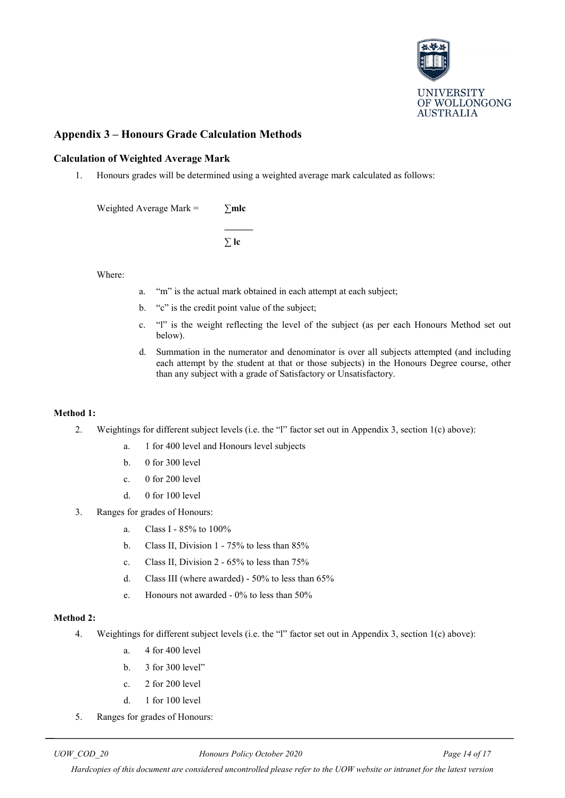

## <span id="page-13-0"></span>**Appendix 3 – Honours Grade Calculation Methods**

#### **Calculation of Weighted Average Mark**

1. Honours grades will be determined using a weighted average mark calculated as follows:

Weighted Average Mark = **∑mlc**

**\_\_\_\_\_\_ ∑ lc**

Where:

- a. "m" is the actual mark obtained in each attempt at each subject;
- b. "c" is the credit point value of the subject;
- c. "l" is the weight reflecting the level of the subject (as per each Honours Method set out below).
- d. Summation in the numerator and denominator is over all subjects attempted (and including each attempt by the student at that or those subjects) in the Honours Degree course, other than any subject with a grade of Satisfactory or Unsatisfactory.

#### **Method 1:**

- 2. Weightings for different subject levels (i.e. the "l" factor set out in Appendix 3, section 1(c) above):
	- a. 1 for 400 level and Honours level subjects
	- b. 0 for 300 level
	- c. 0 for 200 level
	- d. 0 for 100 level
- 3. Ranges for grades of Honours:
	- a. Class I 85% to 100%
	- b. Class II, Division 1 75% to less than 85%
	- c. Class II, Division 2 65% to less than 75%
	- d. Class III (where awarded) 50% to less than 65%
	- e. Honours not awarded 0% to less than 50%

## **Method 2:**

- 4. Weightings for different subject levels (i.e. the "l" factor set out in Appendix 3, section 1(c) above):
	- a. 4 for 400 level
	- b. 3 for 300 level"
	- c. 2 for 200 level
	- d. 1 for 100 level
- 5. Ranges for grades of Honours:

*UOW\_COD\_20 Honours Policy October 2020 Page 14 of 17*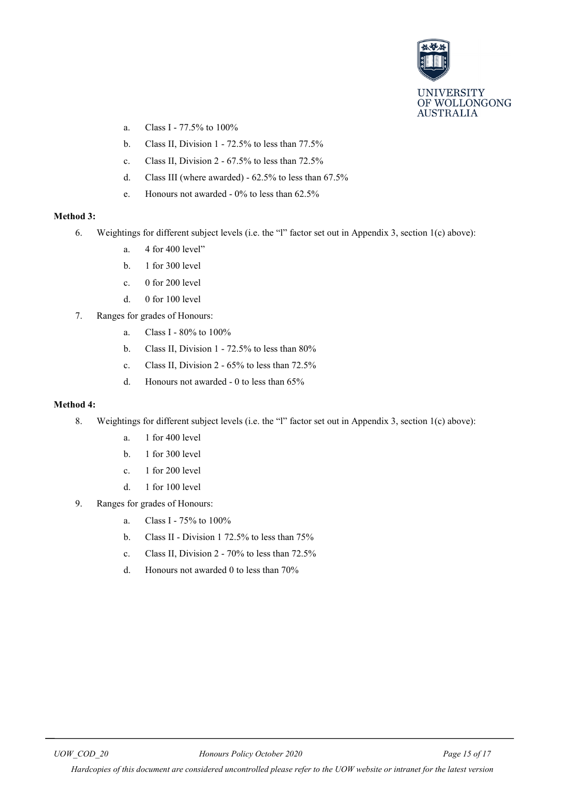

- a. Class I 77.5% to 100%
- b. Class II, Division 1 72.5% to less than 77.5%
- c. Class II, Division 2 67.5% to less than 72.5%
- d. Class III (where awarded) 62.5% to less than 67.5%
- e. Honours not awarded 0% to less than 62.5%

#### **Method 3:**

- 6. Weightings for different subject levels (i.e. the "l" factor set out in Appendix 3, section 1(c) above):
	- a. 4 for 400 level"
	- b. 1 for 300 level
	- c. 0 for 200 level
	- d. 0 for 100 level
- 7. Ranges for grades of Honours:
	- a. Class I 80% to 100%
	- b. Class II, Division 1 72.5% to less than 80%
	- c. Class II, Division 2 65% to less than 72.5%
	- d. Honours not awarded 0 to less than 65%

#### **Method 4:**

- 8. Weightings for different subject levels (i.e. the "l" factor set out in Appendix 3, section 1(c) above):
	- a. 1 for 400 level
	- b. 1 for 300 level
	- c. 1 for 200 level
	- d. 1 for 100 level
- 9. Ranges for grades of Honours:
	- a. Class I 75% to 100%
	- b. Class II Division 1 72.5% to less than 75%
	- c. Class II, Division 2 70% to less than 72.5%
	- d. Honours not awarded 0 to less than 70%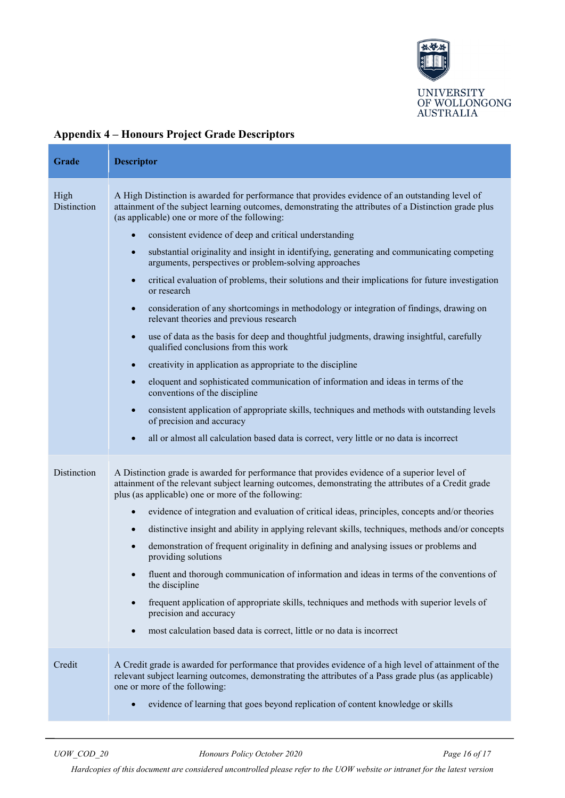

| Grade               | <b>Descriptor</b>                                                                                                                                                                                                                                                                                                                                                                                                                                                                                                                                                                                                                                                                                                                                                                                                                                                                                                                                                                                                                                                                                                                                                                                                                                                                                                                                                                             |
|---------------------|-----------------------------------------------------------------------------------------------------------------------------------------------------------------------------------------------------------------------------------------------------------------------------------------------------------------------------------------------------------------------------------------------------------------------------------------------------------------------------------------------------------------------------------------------------------------------------------------------------------------------------------------------------------------------------------------------------------------------------------------------------------------------------------------------------------------------------------------------------------------------------------------------------------------------------------------------------------------------------------------------------------------------------------------------------------------------------------------------------------------------------------------------------------------------------------------------------------------------------------------------------------------------------------------------------------------------------------------------------------------------------------------------|
| High<br>Distinction | A High Distinction is awarded for performance that provides evidence of an outstanding level of<br>attainment of the subject learning outcomes, demonstrating the attributes of a Distinction grade plus<br>(as applicable) one or more of the following:<br>consistent evidence of deep and critical understanding<br>substantial originality and insight in identifying, generating and communicating competing<br>$\bullet$<br>arguments, perspectives or problem-solving approaches<br>critical evaluation of problems, their solutions and their implications for future investigation<br>$\bullet$<br>or research<br>consideration of any shortcomings in methodology or integration of findings, drawing on<br>$\bullet$<br>relevant theories and previous research<br>use of data as the basis for deep and thoughtful judgments, drawing insightful, carefully<br>$\bullet$<br>qualified conclusions from this work<br>creativity in application as appropriate to the discipline<br>$\bullet$<br>eloquent and sophisticated communication of information and ideas in terms of the<br>$\bullet$<br>conventions of the discipline<br>consistent application of appropriate skills, techniques and methods with outstanding levels<br>$\bullet$<br>of precision and accuracy<br>all or almost all calculation based data is correct, very little or no data is incorrect<br>$\bullet$ |
| Distinction         | A Distinction grade is awarded for performance that provides evidence of a superior level of<br>attainment of the relevant subject learning outcomes, demonstrating the attributes of a Credit grade<br>plus (as applicable) one or more of the following:<br>evidence of integration and evaluation of critical ideas, principles, concepts and/or theories<br>$\bullet$<br>distinctive insight and ability in applying relevant skills, techniques, methods and/or concepts<br>$\bullet$<br>demonstration of frequent originality in defining and analysing issues or problems and<br>$\bullet$<br>providing solutions<br>fluent and thorough communication of information and ideas in terms of the conventions of<br>$\bullet$<br>the discipline<br>frequent application of appropriate skills, techniques and methods with superior levels of<br>$\bullet$<br>precision and accuracy<br>most calculation based data is correct, little or no data is incorrect<br>$\bullet$                                                                                                                                                                                                                                                                                                                                                                                                              |
| Credit              | A Credit grade is awarded for performance that provides evidence of a high level of attainment of the<br>relevant subject learning outcomes, demonstrating the attributes of a Pass grade plus (as applicable)<br>one or more of the following:<br>evidence of learning that goes beyond replication of content knowledge or skills<br>$\bullet$                                                                                                                                                                                                                                                                                                                                                                                                                                                                                                                                                                                                                                                                                                                                                                                                                                                                                                                                                                                                                                              |

# <span id="page-15-0"></span>**Appendix 4 – Honours Project Grade Descriptors**